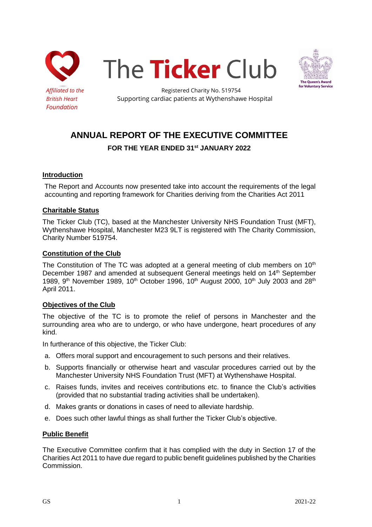





Affiliated to the **Registered Charity No. 519754 British Heart Supporting cardiac patients at Wythenshawe Hospital** 

# **ANNUAL REPORT OF THE EXECUTIVE COMMITTEE**

**FOR THE YEAR ENDED 31st JANUARY 2022**

### **Introduction**

The Report and Accounts now presented take into account the requirements of the legal accounting and reporting framework for Charities deriving from the Charities Act 2011

### **Charitable Status**

The Ticker Club (TC), based at the Manchester University NHS Foundation Trust (MFT), Wythenshawe Hospital, Manchester M23 9LT is registered with The Charity Commission, Charity Number 519754.

### **Constitution of the Club**

The Constitution of The TC was adopted at a general meeting of club members on  $10<sup>th</sup>$ December 1987 and amended at subsequent General meetings held on 14<sup>th</sup> September 1989, 9<sup>th</sup> November 1989, 10<sup>th</sup> October 1996, 10<sup>th</sup> August 2000, 10<sup>th</sup> July 2003 and 28<sup>th</sup> April 2011.

## **Objectives of the Club**

The objective of the TC is to promote the relief of persons in Manchester and the surrounding area who are to undergo, or who have undergone, heart procedures of any kind.

In furtherance of this objective, the Ticker Club:

- a. Offers moral support and encouragement to such persons and their relatives.
- b. Supports financially or otherwise heart and vascular procedures carried out by the Manchester University NHS Foundation Trust (MFT) at Wythenshawe Hospital.
- c. Raises funds, invites and receives contributions etc. to finance the Club's activities (provided that no substantial trading activities shall be undertaken).
- d. Makes grants or donations in cases of need to alleviate hardship.
- e. Does such other lawful things as shall further the Ticker Club's objective.

#### **Public Benefit**

The Executive Committee confirm that it has complied with the duty in Section 17 of the Charities Act 2011 to have due regard to public benefit guidelines published by the Charities Commission.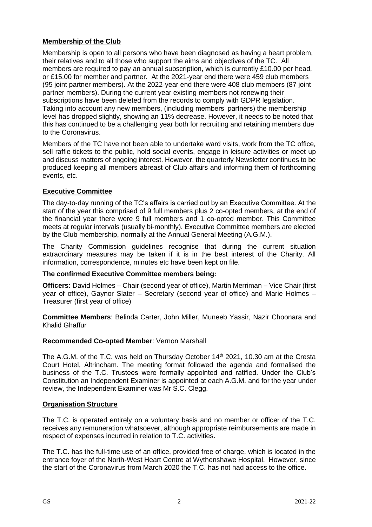# **Membership of the Club**

Membership is open to all persons who have been diagnosed as having a heart problem, their relatives and to all those who support the aims and objectives of the TC. All members are required to pay an annual subscription, which is currently £10.00 per head, or £15.00 for member and partner. At the 2021-year end there were 459 club members (95 joint partner members). At the 2022-year end there were 408 club members (87 joint partner members). During the current year existing members not renewing their subscriptions have been deleted from the records to comply with GDPR legislation. Taking into account any new members, (including members' partners) the membership level has dropped slightly, showing an 11% decrease. However, it needs to be noted that this has continued to be a challenging year both for recruiting and retaining members due to the Coronavirus.

Members of the TC have not been able to undertake ward visits, work from the TC office, sell raffle tickets to the public, hold social events, engage in leisure activities or meet up and discuss matters of ongoing interest. However, the quarterly Newsletter continues to be produced keeping all members abreast of Club affairs and informing them of forthcoming events, etc.

## **Executive Committee**

The day-to-day running of the TC's affairs is carried out by an Executive Committee. At the start of the year this comprised of 9 full members plus 2 co-opted members, at the end of the financial year there were 9 full members and 1 co-opted member. This Committee meets at regular intervals (usually bi-monthly). Executive Committee members are elected by the Club membership, normally at the Annual General Meeting (A.G.M.).

The Charity Commission guidelines recognise that during the current situation extraordinary measures may be taken if it is in the best interest of the Charity. All information, correspondence, minutes etc have been kept on file.

## **The confirmed Executive Committee members being:**

**Officers:** David Holmes – Chair (second year of office), Martin Merriman – Vice Chair (first year of office), Gaynor Slater – Secretary (second year of office) and Marie Holmes – Treasurer (first year of office)

**Committee Members**: Belinda Carter, John Miller, Muneeb Yassir, Nazir Choonara and Khalid Ghaffur

# **Recommended Co-opted Member**: Vernon Marshall

The A.G.M. of the T.C. was held on Thursday October  $14<sup>th</sup>$  2021, 10.30 am at the Cresta Court Hotel, Altrincham. The meeting format followed the agenda and formalised the business of the T.C. Trustees were formally appointed and ratified. Under the Club's Constitution an Independent Examiner is appointed at each A.G.M. and for the year under review, the Independent Examiner was Mr S.C. Clegg.

## **Organisation Structure**

The T.C. is operated entirely on a voluntary basis and no member or officer of the T.C. receives any remuneration whatsoever, although appropriate reimbursements are made in respect of expenses incurred in relation to T.C. activities.

The T.C. has the full-time use of an office, provided free of charge, which is located in the entrance foyer of the North-West Heart Centre at Wythenshawe Hospital. However, since the start of the Coronavirus from March 2020 the T.C. has not had access to the office.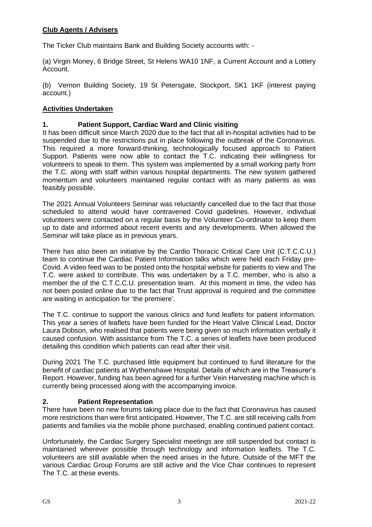## **Club Agents / Advisers**

The Ticker Club maintains Bank and Building Society accounts with: -

(a) Virgin Money, 6 Bridge Street, St Helens WA10 1NF, a Current Account and a Lottery Account.

(b) Vernon Building Society, 19 St Petersgate, Stockport, SK1 1KF (interest paying account.)

## **Activities Undertaken**

### **1. Patient Support, Cardiac Ward and Clinic visiting**

It has been difficult since March 2020 due to the fact that all in-hospital activities had to be suspended due to the restrictions put in place following the outbreak of the Coronavirus. This required a more forward-thinking, technologically focused approach to Patient Support. Patients were now able to contact the T.C. indicating their willingness for volunteers to speak to them. This system was implemented by a small working party from the T.C. along with staff within various hospital departments. The new system gathered momentum and volunteers maintained regular contact with as many patients as was feasibly possible.

The 2021 Annual Volunteers Seminar was reluctantly cancelled due to the fact that those scheduled to attend would have contravened Covid guidelines. However, individual volunteers were contacted on a regular basis by the Volunteer Co-ordinator to keep them up to date and informed about recent events and any developments. When allowed the Seminar will take place as in previous years.

There has also been an initiative by the Cardio Thoracic Critical Care Unit (C.T.C.C.U.) team to continue the Cardiac Patient Information talks which were held each Friday pre-Covid. A video feed was to be posted onto the hospital website for patients to view and The T.C. were asked to contribute. This was undertaken by a T.C. member, who is also a member the of the C.T.C.C.U. presentation team. At this moment in time, the video has not been posted online due to the fact that Trust approval is required and the committee are waiting in anticipation for 'the premiere'.

The T.C. continue to support the various clinics and fund leaflets for patient information. This year a series of leaflets have been funded for the Heart Valve Clinical Lead, Doctor Laura Dobson, who realised that patients were being given so much information verbally it caused confusion. With assistance from The T.C. a series of leaflets have been produced detailing this condition which patients can read after their visit.

During 2021 The T.C. purchased little equipment but continued to fund literature for the benefit of cardiac patients at Wythenshawe Hospital. Details of which are in the Treasurer's Report. However, funding has been agreed for a further Vein Harvesting machine which is currently being processed along with the accompanying invoice.

#### **2. Patient Representation**

There have been no new forums taking place due to the fact that Coronavirus has caused more restrictions than were first anticipated. However, The T.C. are still receiving calls from patients and families via the mobile phone purchased, enabling continued patient contact.

Unfortunately, the Cardiac Surgery Specialist meetings are still suspended but contact is maintained wherever possible through technology and information leaflets. The T.C. volunteers are still available when the need arises in the future. Outside of the MFT the various Cardiac Group Forums are still active and the Vice Chair continues to represent The T.C. at these events.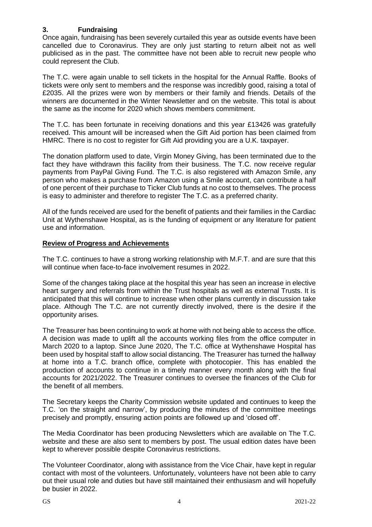## **3. Fundraising**

Once again, fundraising has been severely curtailed this year as outside events have been cancelled due to Coronavirus. They are only just starting to return albeit not as well publicised as in the past. The committee have not been able to recruit new people who could represent the Club.

The T.C. were again unable to sell tickets in the hospital for the Annual Raffle. Books of tickets were only sent to members and the response was incredibly good, raising a total of £2035. All the prizes were won by members or their family and friends. Details of the winners are documented in the Winter Newsletter and on the website. This total is about the same as the income for 2020 which shows members commitment.

The T.C. has been fortunate in receiving donations and this year £13426 was gratefully received. This amount will be increased when the Gift Aid portion has been claimed from HMRC. There is no cost to register for Gift Aid providing you are a U.K. taxpayer.

The donation platform used to date, Virgin Money Giving, has been terminated due to the fact they have withdrawn this facility from their business. The T.C. now receive regular payments from PayPal Giving Fund. The T.C. is also registered with Amazon Smile, any person who makes a purchase from Amazon using a Smile account, can contribute a half of one percent of their purchase to Ticker Club funds at no cost to themselves. The process is easy to administer and therefore to register The T.C. as a preferred charity.

All of the funds received are used for the benefit of patients and their families in the Cardiac Unit at Wythenshawe Hospital, as is the funding of equipment or any literature for patient use and information.

#### **Review of Progress and Achievements**

The T.C. continues to have a strong working relationship with M.F.T. and are sure that this will continue when face-to-face involvement resumes in 2022.

Some of the changes taking place at the hospital this year has seen an increase in elective heart surgery and referrals from within the Trust hospitals as well as external Trusts. It is anticipated that this will continue to increase when other plans currently in discussion take place. Although The T.C. are not currently directly involved, there is the desire if the opportunity arises.

The Treasurer has been continuing to work at home with not being able to access the office. A decision was made to uplift all the accounts working files from the office computer in March 2020 to a laptop. Since June 2020, The T.C. office at Wythenshawe Hospital has been used by hospital staff to allow social distancing. The Treasurer has turned the hallway at home into a T.C. branch office, complete with photocopier. This has enabled the production of accounts to continue in a timely manner every month along with the final accounts for 2021/2022. The Treasurer continues to oversee the finances of the Club for the benefit of all members.

The Secretary keeps the Charity Commission website updated and continues to keep the T.C. 'on the straight and narrow', by producing the minutes of the committee meetings precisely and promptly, ensuring action points are followed up and 'closed off'.

The Media Coordinator has been producing Newsletters which are available on The T.C. website and these are also sent to members by post. The usual edition dates have been kept to wherever possible despite Coronavirus restrictions.

The Volunteer Coordinator, along with assistance from the Vice Chair, have kept in regular contact with most of the volunteers. Unfortunately, volunteers have not been able to carry out their usual role and duties but have still maintained their enthusiasm and will hopefully be busier in 2022.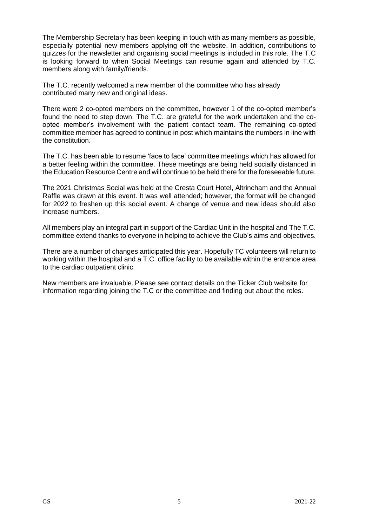The Membership Secretary has been keeping in touch with as many members as possible, especially potential new members applying off the website. In addition, contributions to quizzes for the newsletter and organising social meetings is included in this role. The T.C is looking forward to when Social Meetings can resume again and attended by T.C. members along with family/friends.

The T.C. recently welcomed a new member of the committee who has already contributed many new and original ideas.

There were 2 co-opted members on the committee, however 1 of the co-opted member's found the need to step down. The T.C. are grateful for the work undertaken and the coopted member's involvement with the patient contact team. The remaining co-opted committee member has agreed to continue in post which maintains the numbers in line with the constitution.

The T.C. has been able to resume 'face to face' committee meetings which has allowed for a better feeling within the committee. These meetings are being held socially distanced in the Education Resource Centre and will continue to be held there for the foreseeable future.

The 2021 Christmas Social was held at the Cresta Court Hotel, Altrincham and the Annual Raffle was drawn at this event. It was well attended; however, the format will be changed for 2022 to freshen up this social event. A change of venue and new ideas should also increase numbers.

All members play an integral part in support of the Cardiac Unit in the hospital and The T.C. committee extend thanks to everyone in helping to achieve the Club's aims and objectives.

There are a number of changes anticipated this year. Hopefully TC volunteers will return to working within the hospital and a T.C. office facility to be available within the entrance area to the cardiac outpatient clinic.

New members are invaluable. Please see contact details on the Ticker Club website for information regarding joining the T.C or the committee and finding out about the roles.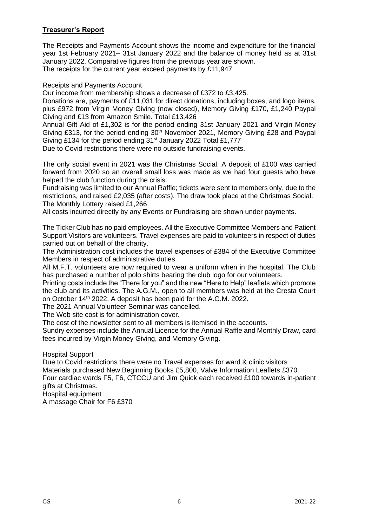## **Treasurer's Report**

The Receipts and Payments Account shows the income and expenditure for the financial year 1st February 2021– 31st January 2022 and the balance of money held as at 31st January 2022. Comparative figures from the previous year are shown. The receipts for the current year exceed payments by £11,947.

Receipts and Payments Account

Our income from membership shows a decrease of £372 to £3,425.

Donations are, payments of £11,031 for direct donations, including boxes, and logo items, plus £972 from Virgin Money Giving (now closed), Memory Giving £170, £1,240 Paypal Giving and £13 from Amazon Smile. Total £13,426

Annual Gift Aid of £1,302 is for the period ending 31st January 2021 and Virgin Money Giving £313, for the period ending 30<sup>th</sup> November 2021, Memory Giving £28 and Paypal Giving £134 for the period ending 31<sup>st</sup> January 2022 Total £1,777

Due to Covid restrictions there were no outside fundraising events.

The only social event in 2021 was the Christmas Social. A deposit of £100 was carried forward from 2020 so an overall small loss was made as we had four guests who have helped the club function during the crisis.

Fundraising was limited to our Annual Raffle; tickets were sent to members only, due to the restrictions, and raised £2,035 (after costs). The draw took place at the Christmas Social. The Monthly Lottery raised £1,266

All costs incurred directly by any Events or Fundraising are shown under payments.

The Ticker Club has no paid employees. All the Executive Committee Members and Patient Support Visitors are volunteers. Travel expenses are paid to volunteers in respect of duties carried out on behalf of the charity.

The Administration cost includes the travel expenses of £384 of the Executive Committee Members in respect of administrative duties.

All M.F.T. volunteers are now required to wear a uniform when in the hospital. The Club has purchased a number of polo shirts bearing the club logo for our volunteers.

Printing costs include the "There for you" and the new "Here to Help" leaflets which promote the club and its activities. The A.G.M., open to all members was held at the Cresta Court on October 14<sup>th</sup> 2022. A deposit has been paid for the A.G.M. 2022.

The 2021 Annual Volunteer Seminar was cancelled.

The Web site cost is for administration cover.

The cost of the newsletter sent to all members is itemised in the accounts.

Sundry expenses include the Annual Licence for the Annual Raffle and Monthly Draw, card fees incurred by Virgin Money Giving, and Memory Giving.

Hospital Support

Due to Covid restrictions there were no Travel expenses for ward & clinic visitors Materials purchased New Beginning Books £5,800, Valve Information Leaflets £370. Four cardiac wards F5, F6, CTCCU and Jim Quick each received £100 towards in-patient gifts at Christmas.

Hospital equipment A massage Chair for F6 £370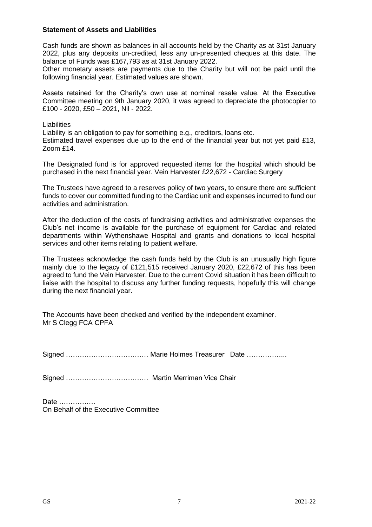#### **Statement of Assets and Liabilities**

Cash funds are shown as balances in all accounts held by the Charity as at 31st January 2022, plus any deposits un-credited, less any un-presented cheques at this date. The balance of Funds was £167,793 as at 31st January 2022.

Other monetary assets are payments due to the Charity but will not be paid until the following financial year. Estimated values are shown.

Assets retained for the Charity's own use at nominal resale value. At the Executive Committee meeting on 9th January 2020, it was agreed to depreciate the photocopier to £100 - 2020, £50 – 2021, Nil - 2022.

**Liabilities** Liability is an obligation to pay for something e.g., creditors, loans etc. Estimated travel expenses due up to the end of the financial year but not yet paid £13, Zoom £14.

The Designated fund is for approved requested items for the hospital which should be purchased in the next financial year. Vein Harvester £22,672 - Cardiac Surgery

The Trustees have agreed to a reserves policy of two years, to ensure there are sufficient funds to cover our committed funding to the Cardiac unit and expenses incurred to fund our activities and administration.

After the deduction of the costs of fundraising activities and administrative expenses the Club's net income is available for the purchase of equipment for Cardiac and related departments within Wythenshawe Hospital and grants and donations to local hospital services and other items relating to patient welfare.

The Trustees acknowledge the cash funds held by the Club is an unusually high figure mainly due to the legacy of £121,515 received January 2020, £22,672 of this has been agreed to fund the Vein Harvester. Due to the current Covid situation it has been difficult to liaise with the hospital to discuss any further funding requests, hopefully this will change during the next financial year.

The Accounts have been checked and verified by the independent examiner. Mr S Clegg FCA CPFA

Signed …………………………………… Marie Holmes Treasurer Date ………………

Signed ……………………………… Martin Merriman Vice Chair

Date ……………. On Behalf of the Executive Committee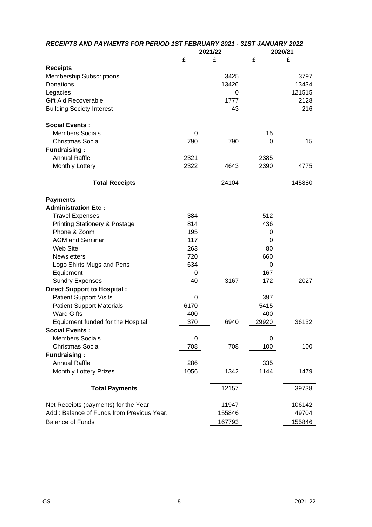| RECEIPTS AND PAYMENTS FOR PERIOD 1ST FEBRUARY 2021 - 31ST JANUARY 2022 |             |         |       |         |  |
|------------------------------------------------------------------------|-------------|---------|-------|---------|--|
|                                                                        |             | 2021/22 |       | 2020/21 |  |
|                                                                        | £           | £       | £     | £       |  |
| <b>Receipts</b>                                                        |             |         |       |         |  |
| <b>Membership Subscriptions</b>                                        |             | 3425    |       | 3797    |  |
| Donations                                                              |             | 13426   |       | 13434   |  |
| Legacies                                                               |             | 0       |       | 121515  |  |
| <b>Gift Aid Recoverable</b>                                            |             | 1777    |       | 2128    |  |
| <b>Building Society Interest</b>                                       |             | 43      |       | 216     |  |
| <b>Social Events:</b>                                                  |             |         |       |         |  |
| <b>Members Socials</b>                                                 | 0           |         | 15    |         |  |
| <b>Christmas Social</b>                                                | 790         | 790     | 0     | 15      |  |
| <b>Fundraising:</b>                                                    |             |         |       |         |  |
| <b>Annual Raffle</b>                                                   | 2321        |         | 2385  |         |  |
| <b>Monthly Lottery</b>                                                 | 2322        | 4643    | 2390  | 4775    |  |
| <b>Total Receipts</b>                                                  |             | 24104   |       | 145880  |  |
| <b>Payments</b>                                                        |             |         |       |         |  |
| <b>Administration Etc:</b>                                             |             |         |       |         |  |
| <b>Travel Expenses</b>                                                 | 384         |         | 512   |         |  |
| <b>Printing Stationery &amp; Postage</b>                               | 814         |         | 436   |         |  |
| Phone & Zoom                                                           | 195         |         | 0     |         |  |
| <b>AGM and Seminar</b>                                                 | 117         |         | 0     |         |  |
| Web Site                                                               | 263         |         | 80    |         |  |
| <b>Newsletters</b>                                                     | 720         |         | 660   |         |  |
| Logo Shirts Mugs and Pens                                              | 634         |         | 0     |         |  |
| Equipment                                                              | 0           |         | 167   |         |  |
| <b>Sundry Expenses</b>                                                 | 40          | 3167    | 172   | 2027    |  |
| <b>Direct Support to Hospital:</b>                                     |             |         |       |         |  |
| <b>Patient Support Visits</b>                                          | 0           |         | 397   |         |  |
| <b>Patient Support Materials</b>                                       | 6170        |         | 5415  |         |  |
| <b>Ward Gifts</b>                                                      | 400         |         | 400   |         |  |
| Equipment funded for the Hospital                                      | 370         | 6940    | 29920 | 36132   |  |
| <b>Social Events:</b>                                                  |             |         |       |         |  |
| <b>Members Socials</b>                                                 | $\mathbf 0$ |         | 0     |         |  |
| <b>Christmas Social</b>                                                | 708         | 708     | 100   | 100     |  |
| <b>Fundraising:</b>                                                    |             |         |       |         |  |
| <b>Annual Raffle</b>                                                   | 286         |         | 335   |         |  |
| <b>Monthly Lottery Prizes</b>                                          | 1056        | 1342    | 1144  | 1479    |  |
|                                                                        |             |         |       |         |  |
| <b>Total Payments</b>                                                  |             | 12157   |       | 39738   |  |
| Net Receipts (payments) for the Year                                   |             | 11947   |       | 106142  |  |
| Add: Balance of Funds from Previous Year.                              |             | 155846  |       | 49704   |  |
| <b>Balance of Funds</b>                                                |             | 167793  |       | 155846  |  |